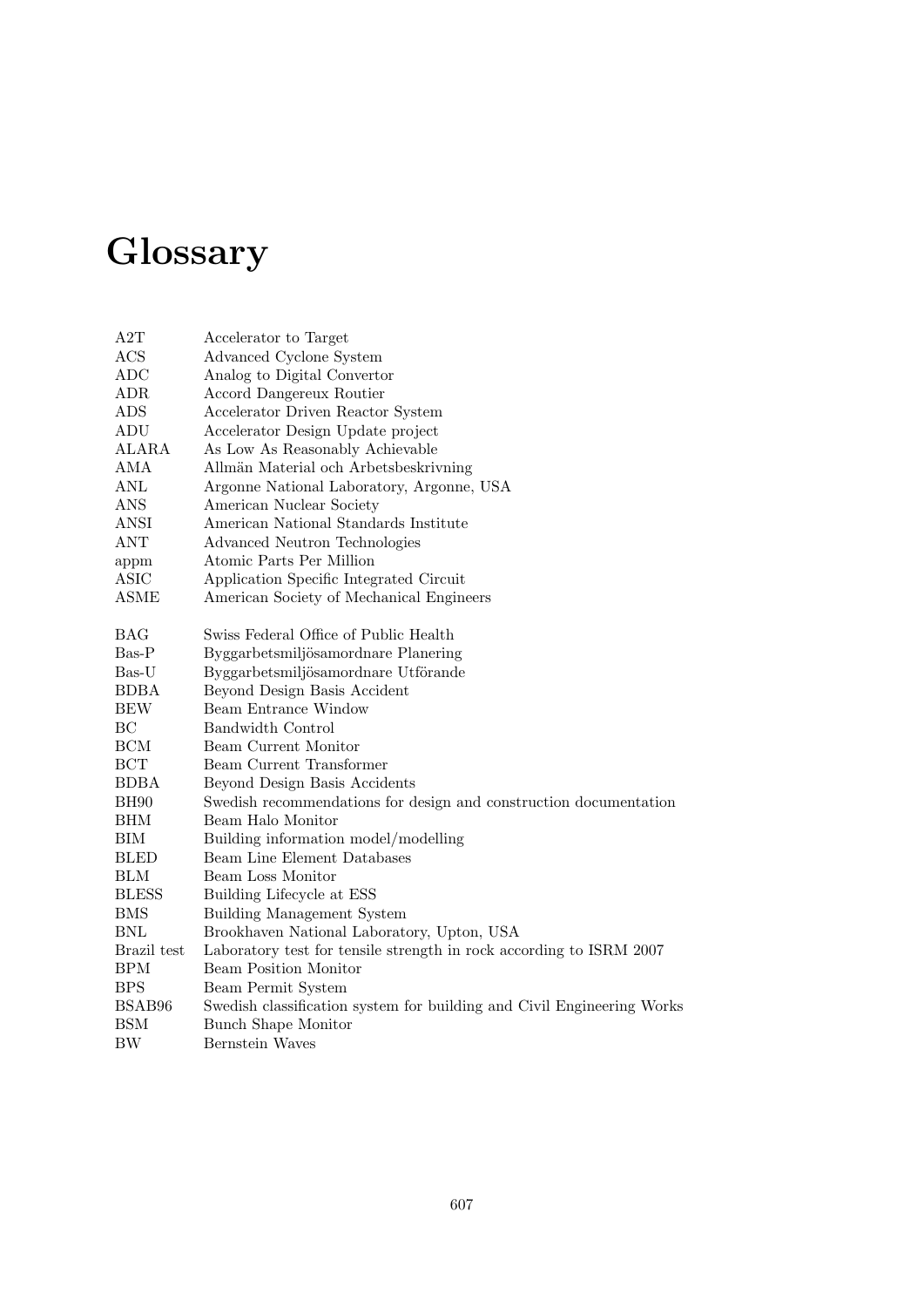## **Glossary**

| A2T<br>Accelerator to Target               |                                                                        |
|--------------------------------------------|------------------------------------------------------------------------|
| Advanced Cyclone System<br>ACS             |                                                                        |
| ADC                                        | Analog to Digital Convertor                                            |
| ADR<br>Accord Dangereux Routier            |                                                                        |
| ADS                                        | Accelerator Driven Reactor System                                      |
| ADU                                        | Accelerator Design Update project                                      |
| <b>ALARA</b>                               | As Low As Reasonably Achievable                                        |
| AMA                                        | Allmän Material och Arbetsbeskrivning                                  |
| ANL                                        | Argonne National Laboratory, Argonne, USA                              |
| ANS<br>American Nuclear Society            |                                                                        |
| <b>ANSI</b>                                | American National Standards Institute                                  |
| <b>ANT</b>                                 | Advanced Neutron Technologies                                          |
| Atomic Parts Per Million<br>appm           |                                                                        |
| <b>ASIC</b>                                | Application Specific Integrated Circuit                                |
| <b>ASME</b>                                | American Society of Mechanical Engineers                               |
|                                            |                                                                        |
| <b>BAG</b>                                 | Swiss Federal Office of Public Health                                  |
| Bas-P                                      | Byggarbetsmiljösamordnare Planering                                    |
| Bas-U                                      | Byggarbetsmiljösamordnare Utförande                                    |
| <b>BDBA</b>                                | Beyond Design Basis Accident                                           |
| Beam Entrance Window<br><b>BEW</b>         |                                                                        |
| BC<br>Bandwidth Control                    |                                                                        |
| <b>BCM</b><br>Beam Current Monitor         |                                                                        |
| BCT<br>Beam Current Transformer            |                                                                        |
| <b>BDBA</b>                                | Beyond Design Basis Accidents                                          |
| <b>BH90</b>                                | Swedish recommendations for design and construction documentation      |
| <b>BHM</b><br>Beam Halo Monitor            |                                                                        |
| BIM                                        | Building information model/modelling                                   |
| <b>BLED</b>                                | Beam Line Element Databases                                            |
| <b>BLM</b><br>Beam Loss Monitor            |                                                                        |
| <b>BLESS</b><br>Building Lifecycle at ESS  |                                                                        |
| <b>BMS</b>                                 | <b>Building Management System</b>                                      |
| <b>BNL</b>                                 | Brookhaven National Laboratory, Upton, USA                             |
| Brazil test                                | Laboratory test for tensile strength in rock according to ISRM 2007    |
| <b>Beam Position Monitor</b><br><b>BPM</b> |                                                                        |
| <b>BPS</b><br>Beam Permit System           |                                                                        |
| BSAB96                                     |                                                                        |
|                                            |                                                                        |
| <b>BSM</b><br><b>Bunch Shape Monitor</b>   | Swedish classification system for building and Civil Engineering Works |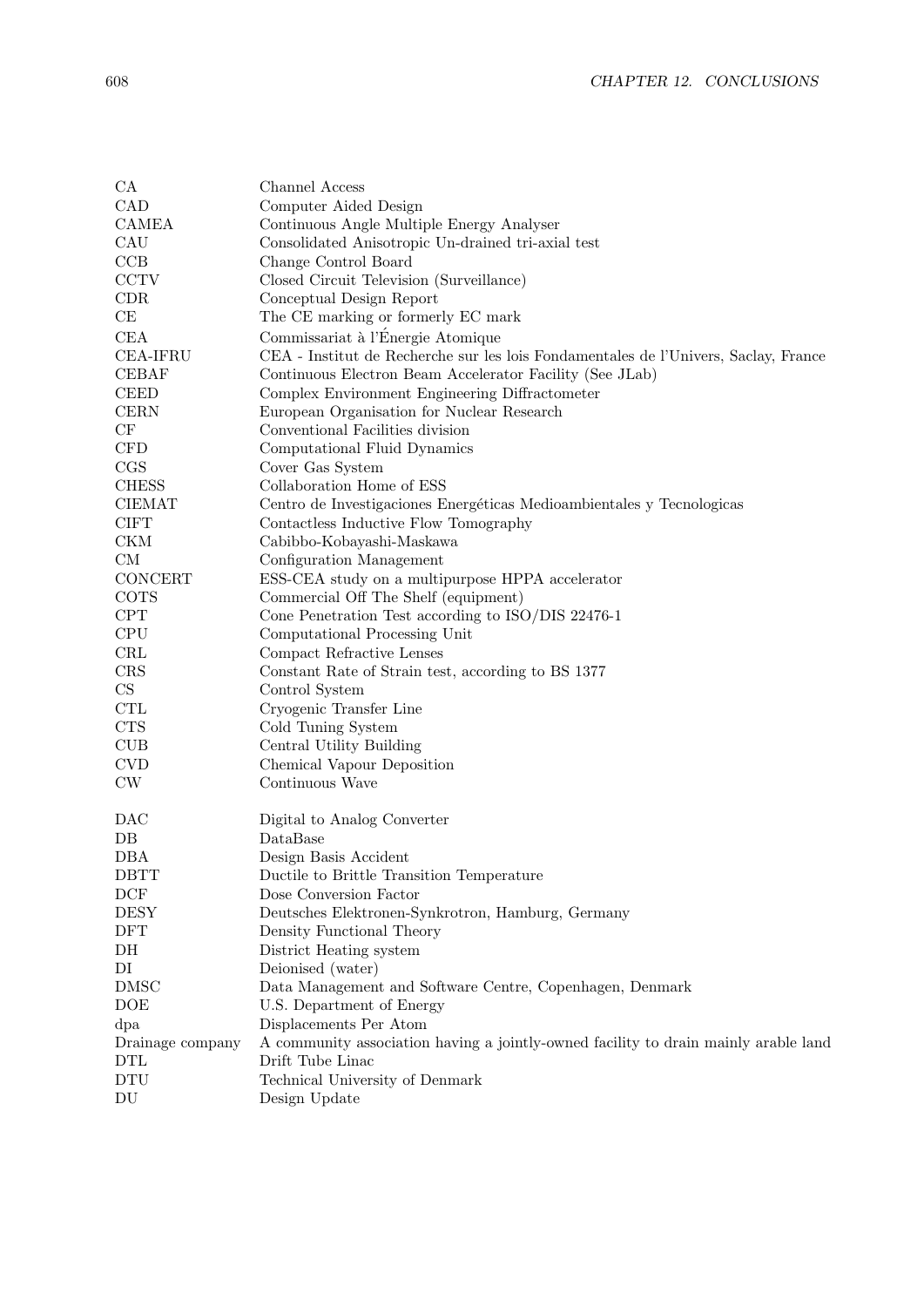| CA<br>CAD<br><b>CAMEA</b><br>CAU<br>CCB<br><b>CCTV</b><br>CDR<br>CE<br>CEA<br><b>CEA-IFRU</b> | Channel Access<br>Computer Aided Design<br>Continuous Angle Multiple Energy Analyser<br>Consolidated Anisotropic Un-drained tri-axial test<br>Change Control Board<br>Closed Circuit Television (Surveillance)<br>Conceptual Design Report<br>The CE marking or formerly EC mark<br>Commissariat à l'Énergie Atomique<br>CEA - Institut de Recherche sur les lois Fondamentales de l'Univers, Saclay, France |
|-----------------------------------------------------------------------------------------------|--------------------------------------------------------------------------------------------------------------------------------------------------------------------------------------------------------------------------------------------------------------------------------------------------------------------------------------------------------------------------------------------------------------|
| <b>CEBAF</b>                                                                                  | Continuous Electron Beam Accelerator Facility (See JLab)                                                                                                                                                                                                                                                                                                                                                     |
| <b>CEED</b>                                                                                   | Complex Environment Engineering Diffractometer                                                                                                                                                                                                                                                                                                                                                               |
| <b>CERN</b><br>CF                                                                             | European Organisation for Nuclear Research<br>Conventional Facilities division                                                                                                                                                                                                                                                                                                                               |
| CFD                                                                                           | Computational Fluid Dynamics                                                                                                                                                                                                                                                                                                                                                                                 |
| CGS                                                                                           | Cover Gas System                                                                                                                                                                                                                                                                                                                                                                                             |
| <b>CHESS</b>                                                                                  | Collaboration Home of ESS                                                                                                                                                                                                                                                                                                                                                                                    |
| <b>CIEMAT</b>                                                                                 | Centro de Investigaciones Energéticas Medioambientales y Tecnologicas                                                                                                                                                                                                                                                                                                                                        |
| <b>CIFT</b>                                                                                   | Contactless Inductive Flow Tomography                                                                                                                                                                                                                                                                                                                                                                        |
| <b>CKM</b>                                                                                    | Cabibbo-Kobayashi-Maskawa                                                                                                                                                                                                                                                                                                                                                                                    |
| CM                                                                                            | Configuration Management                                                                                                                                                                                                                                                                                                                                                                                     |
| CONCERT                                                                                       | ESS-CEA study on a multipurpose HPPA accelerator                                                                                                                                                                                                                                                                                                                                                             |
| <b>COTS</b>                                                                                   | Commercial Off The Shelf (equipment)                                                                                                                                                                                                                                                                                                                                                                         |
| CPT                                                                                           | Cone Penetration Test according to ISO/DIS 22476-1                                                                                                                                                                                                                                                                                                                                                           |
| <b>CPU</b>                                                                                    | Computational Processing Unit                                                                                                                                                                                                                                                                                                                                                                                |
| <b>CRL</b>                                                                                    | Compact Refractive Lenses                                                                                                                                                                                                                                                                                                                                                                                    |
| CRS                                                                                           | Constant Rate of Strain test, according to BS 1377                                                                                                                                                                                                                                                                                                                                                           |
| $\mathop{\rm CS}\nolimits$                                                                    | Control System                                                                                                                                                                                                                                                                                                                                                                                               |
| <b>CTL</b>                                                                                    | Cryogenic Transfer Line                                                                                                                                                                                                                                                                                                                                                                                      |
| <b>CTS</b>                                                                                    | Cold Tuning System                                                                                                                                                                                                                                                                                                                                                                                           |
| <b>CUB</b>                                                                                    | Central Utility Building                                                                                                                                                                                                                                                                                                                                                                                     |
| <b>CVD</b>                                                                                    | Chemical Vapour Deposition                                                                                                                                                                                                                                                                                                                                                                                   |
| CW                                                                                            | Continuous Wave                                                                                                                                                                                                                                                                                                                                                                                              |
| DAC                                                                                           | Digital to Analog Converter                                                                                                                                                                                                                                                                                                                                                                                  |
| $DB$                                                                                          | DataBase                                                                                                                                                                                                                                                                                                                                                                                                     |
| DBA                                                                                           | Design Basis Accident                                                                                                                                                                                                                                                                                                                                                                                        |
| <b>DBTT</b>                                                                                   | Ductile to Brittle Transition Temperature                                                                                                                                                                                                                                                                                                                                                                    |
| DCF                                                                                           | Dose Conversion Factor                                                                                                                                                                                                                                                                                                                                                                                       |
| <b>DESY</b>                                                                                   | Deutsches Elektronen-Synkrotron, Hamburg, Germany                                                                                                                                                                                                                                                                                                                                                            |
| <b>DFT</b>                                                                                    | Density Functional Theory                                                                                                                                                                                                                                                                                                                                                                                    |
| DH                                                                                            | District Heating system                                                                                                                                                                                                                                                                                                                                                                                      |
| DI                                                                                            | Deionised (water)                                                                                                                                                                                                                                                                                                                                                                                            |
| <b>DMSC</b>                                                                                   | Data Management and Software Centre, Copenhagen, Denmark                                                                                                                                                                                                                                                                                                                                                     |
| DOE                                                                                           | U.S. Department of Energy                                                                                                                                                                                                                                                                                                                                                                                    |
| dpa                                                                                           | Displacements Per Atom                                                                                                                                                                                                                                                                                                                                                                                       |
| Drainage company<br>$\mathop{\rm DTL}\nolimits$                                               | A community association having a jointly-owned facility to drain mainly arable land<br>Drift Tube Linac                                                                                                                                                                                                                                                                                                      |
| $\operatorname{DTU}$                                                                          | Technical University of Denmark                                                                                                                                                                                                                                                                                                                                                                              |
| $\mathop{\rm DU}\nolimits$                                                                    | Design Update                                                                                                                                                                                                                                                                                                                                                                                                |
|                                                                                               |                                                                                                                                                                                                                                                                                                                                                                                                              |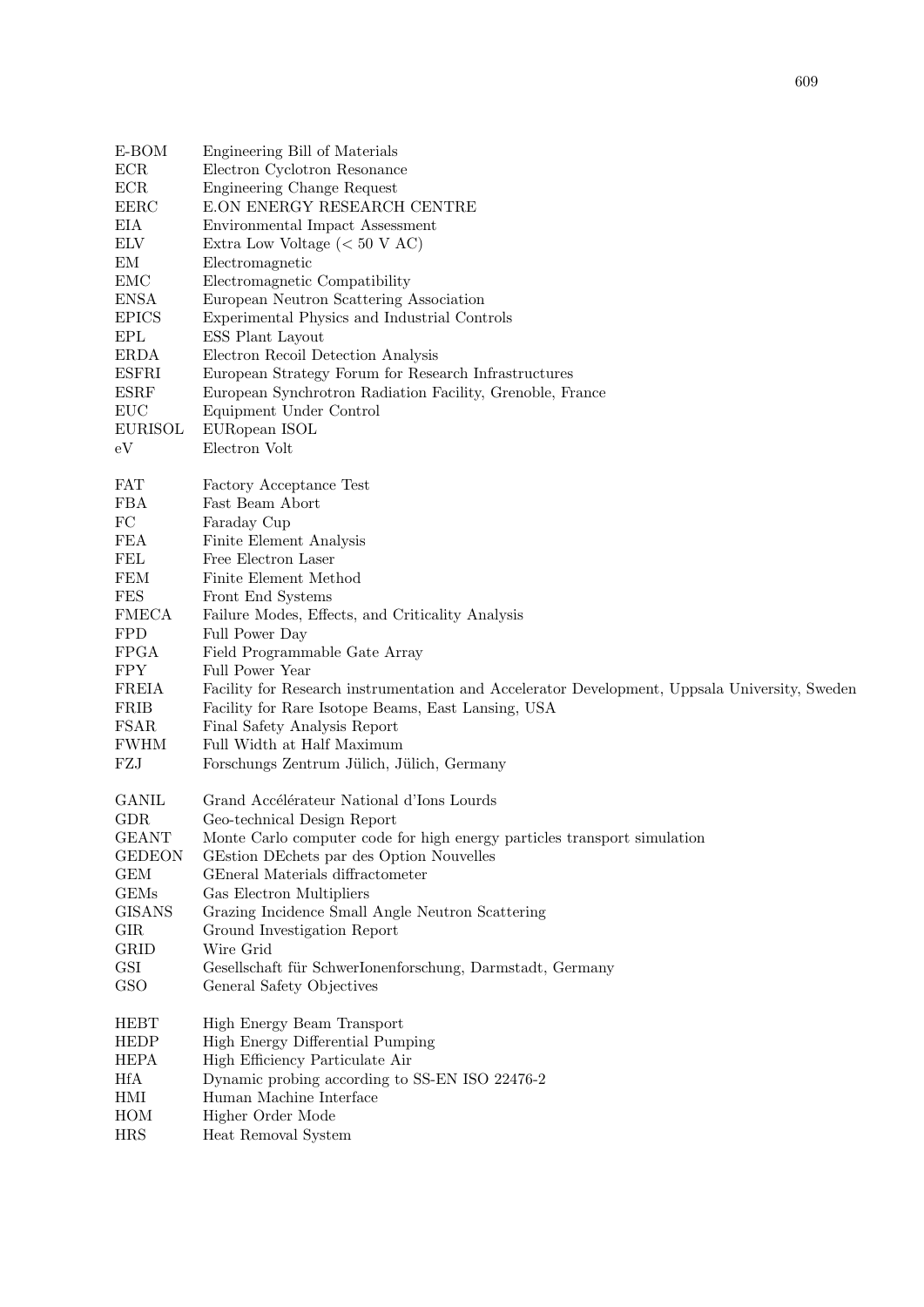| E-BOM          | Engineering Bill of Materials                                                                 |
|----------------|-----------------------------------------------------------------------------------------------|
| ECR            | Electron Cyclotron Resonance                                                                  |
| ECR            | Engineering Change Request                                                                    |
| <b>EERC</b>    | E.ON ENERGY RESEARCH CENTRE                                                                   |
| EIA            | Environmental Impact Assessment                                                               |
| <b>ELV</b>     | Extra Low Voltage ( $< 50$ V AC)                                                              |
| EM             | Electromagnetic                                                                               |
| <b>EMC</b>     | Electromagnetic Compatibility                                                                 |
| <b>ENSA</b>    | European Neutron Scattering Association                                                       |
| <b>EPICS</b>   | Experimental Physics and Industrial Controls                                                  |
| <b>EPL</b>     | ESS Plant Layout                                                                              |
| <b>ERDA</b>    | Electron Recoil Detection Analysis                                                            |
| <b>ESFRI</b>   | European Strategy Forum for Research Infrastructures                                          |
| <b>ESRF</b>    | European Synchrotron Radiation Facility, Grenoble, France                                     |
| EUC            | Equipment Under Control                                                                       |
| <b>EURISOL</b> | EURopean ISOL                                                                                 |
| eV             | Electron Volt                                                                                 |
| <b>FAT</b>     | Factory Acceptance Test                                                                       |
| <b>FBA</b>     | Fast Beam Abort                                                                               |
| ${\rm FC}$     | Faraday Cup                                                                                   |
| <b>FEA</b>     | Finite Element Analysis                                                                       |
| FEL            | Free Electron Laser                                                                           |
| <b>FEM</b>     | Finite Element Method                                                                         |
| <b>FES</b>     | Front End Systems                                                                             |
| <b>FMECA</b>   | Failure Modes, Effects, and Criticality Analysis                                              |
| <b>FPD</b>     | Full Power Day                                                                                |
| <b>FPGA</b>    | Field Programmable Gate Array                                                                 |
| <b>FPY</b>     | Full Power Year                                                                               |
| <b>FREIA</b>   | Facility for Research instrumentation and Accelerator Development, Uppsala University, Sweden |
| <b>FRIB</b>    | Facility for Rare Isotope Beams, East Lansing, USA                                            |
| <b>FSAR</b>    | Final Safety Analysis Report                                                                  |
| <b>FWHM</b>    | Full Width at Half Maximum                                                                    |
| FZJ            | Forschungs Zentrum Jülich, Jülich, Germany                                                    |
| <b>GANIL</b>   | Grand Accélérateur National d'Ions Lourds                                                     |
| <b>GDR</b>     | Geo-technical Design Report                                                                   |
| <b>GEANT</b>   | Monte Carlo computer code for high energy particles transport simulation                      |
| <b>GEDEON</b>  | GEstion DEchets par des Option Nouvelles                                                      |
| <b>GEM</b>     | GEneral Materials diffractometer                                                              |
| <b>GEMs</b>    | Gas Electron Multipliers                                                                      |
| <b>GISANS</b>  | Grazing Incidence Small Angle Neutron Scattering                                              |
| <b>GIR</b>     | Ground Investigation Report                                                                   |
| <b>GRID</b>    | Wire Grid                                                                                     |
| GSI<br>GSO     | Gesellschaft für SchwerIonenforschung, Darmstadt, Germany<br>General Safety Objectives        |
|                |                                                                                               |
| <b>HEBT</b>    | High Energy Beam Transport                                                                    |
| <b>HEDP</b>    | High Energy Differential Pumping                                                              |
| <b>HEPA</b>    | High Efficiency Particulate Air                                                               |
| <b>HfA</b>     | Dynamic probing according to SS-EN ISO 22476-2                                                |
| HMI            | Human Machine Interface                                                                       |
| HOM            | Higher Order Mode                                                                             |
| <b>HRS</b>     | Heat Removal System                                                                           |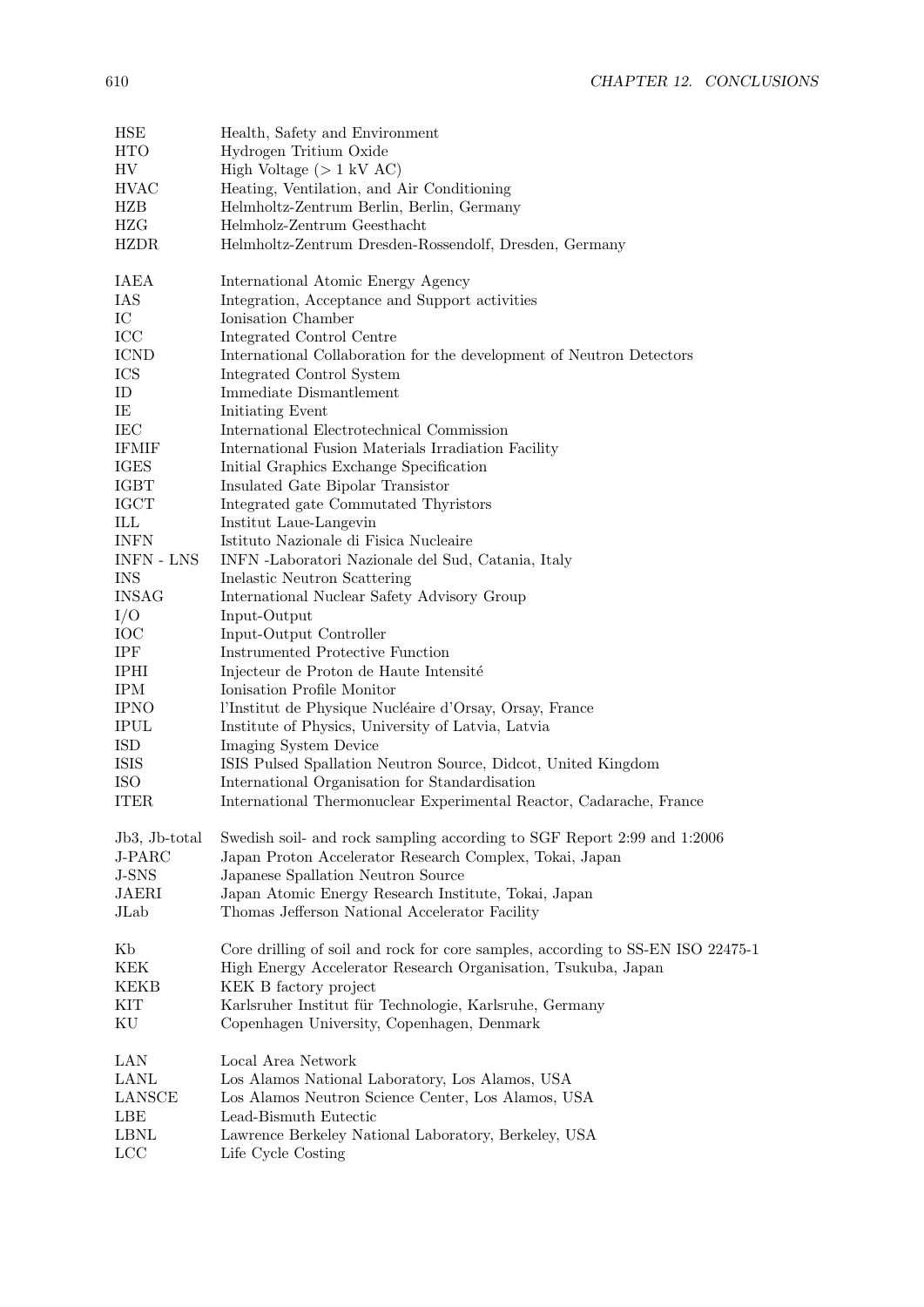| HSE                   | Health, Safety and Environment                                                  |
|-----------------------|---------------------------------------------------------------------------------|
| <b>HTO</b>            | Hydrogen Tritium Oxide                                                          |
| HV                    | High Voltage $(>1 \text{ kV AC})$                                               |
| <b>HVAC</b>           | Heating, Ventilation, and Air Conditioning                                      |
| <b>HZB</b>            | Helmholtz-Zentrum Berlin, Berlin, Germany                                       |
| HZG                   | Helmholz-Zentrum Geesthacht                                                     |
| <b>HZDR</b>           | Helmholtz-Zentrum Dresden-Rossendolf, Dresden, Germany                          |
|                       |                                                                                 |
| IAEA                  | International Atomic Energy Agency                                              |
| IAS                   | Integration, Acceptance and Support activities                                  |
| $_{\mathrm{IC}}$      | Ionisation Chamber                                                              |
| ICC                   | Integrated Control Centre                                                       |
| <b>ICND</b>           | International Collaboration for the development of Neutron Detectors            |
| ICS                   | Integrated Control System                                                       |
| ID                    | Immediate Dismantlement                                                         |
| ΙE                    | Initiating Event                                                                |
| IEC                   | International Electrotechnical Commission                                       |
| <b>IFMIF</b>          | International Fusion Materials Irradiation Facility                             |
| <b>IGES</b>           | Initial Graphics Exchange Specification                                         |
| <b>IGBT</b>           | Insulated Gate Bipolar Transistor                                               |
| <b>IGCT</b>           | Integrated gate Commutated Thyristors                                           |
| ILL                   | Institut Laue-Langevin                                                          |
| <b>INFN</b>           | Istituto Nazionale di Fisica Nucleaire                                          |
| <b>INFN - LNS</b>     |                                                                                 |
| <b>INS</b>            | INFN -Laboratori Nazionale del Sud, Catania, Italy                              |
|                       | Inelastic Neutron Scattering                                                    |
| <b>INSAG</b>          | International Nuclear Safety Advisory Group                                     |
| I/O                   | Input-Output                                                                    |
| IOC                   | Input-Output Controller                                                         |
| IPF                   | <b>Instrumented Protective Function</b>                                         |
| <b>IPHI</b>           | Injecteur de Proton de Haute Intensité                                          |
| <b>IPM</b>            | Ionisation Profile Monitor                                                      |
| <b>IPNO</b>           | l'Institut de Physique Nucléaire d'Orsay, Orsay, France                         |
| $\operatorname{IPUL}$ | Institute of Physics, University of Latvia, Latvia                              |
| <b>ISD</b>            | Imaging System Device                                                           |
| <b>ISIS</b>           | ISIS Pulsed Spallation Neutron Source, Didcot, United Kingdom                   |
| <b>ISO</b>            | International Organisation for Standardisation                                  |
| <b>ITER</b>           | International Thermonuclear Experimental Reactor, Cadarache, France             |
|                       |                                                                                 |
| Jb3, Jb-total         | Swedish soil- and rock sampling according to SGF Report 2:99 and 1:2006         |
| J-PARC                | Japan Proton Accelerator Research Complex, Tokai, Japan                         |
| J-SNS                 | Japanese Spallation Neutron Source                                              |
| JAERI                 | Japan Atomic Energy Research Institute, Tokai, Japan                            |
| JLab                  | Thomas Jefferson National Accelerator Facility                                  |
|                       |                                                                                 |
| Kb                    | Core drilling of soil and rock for core samples, according to SS-EN ISO 22475-1 |
| KEK                   | High Energy Accelerator Research Organisation, Tsukuba, Japan                   |
| <b>KEKB</b>           | KEK B factory project                                                           |
| KІТ                   | Karlsruher Institut für Technologie, Karlsruhe, Germany                         |
| KU                    | Copenhagen University, Copenhagen, Denmark                                      |
|                       |                                                                                 |
| LAN                   | Local Area Network                                                              |
| LANL                  | Los Alamos National Laboratory, Los Alamos, USA                                 |
| <b>LANSCE</b>         | Los Alamos Neutron Science Center, Los Alamos, USA                              |
| LBE                   | Lead-Bismuth Eutectic                                                           |
| <b>LBNL</b>           | Lawrence Berkeley National Laboratory, Berkeley, USA                            |
| LCC                   | Life Cycle Costing                                                              |
|                       |                                                                                 |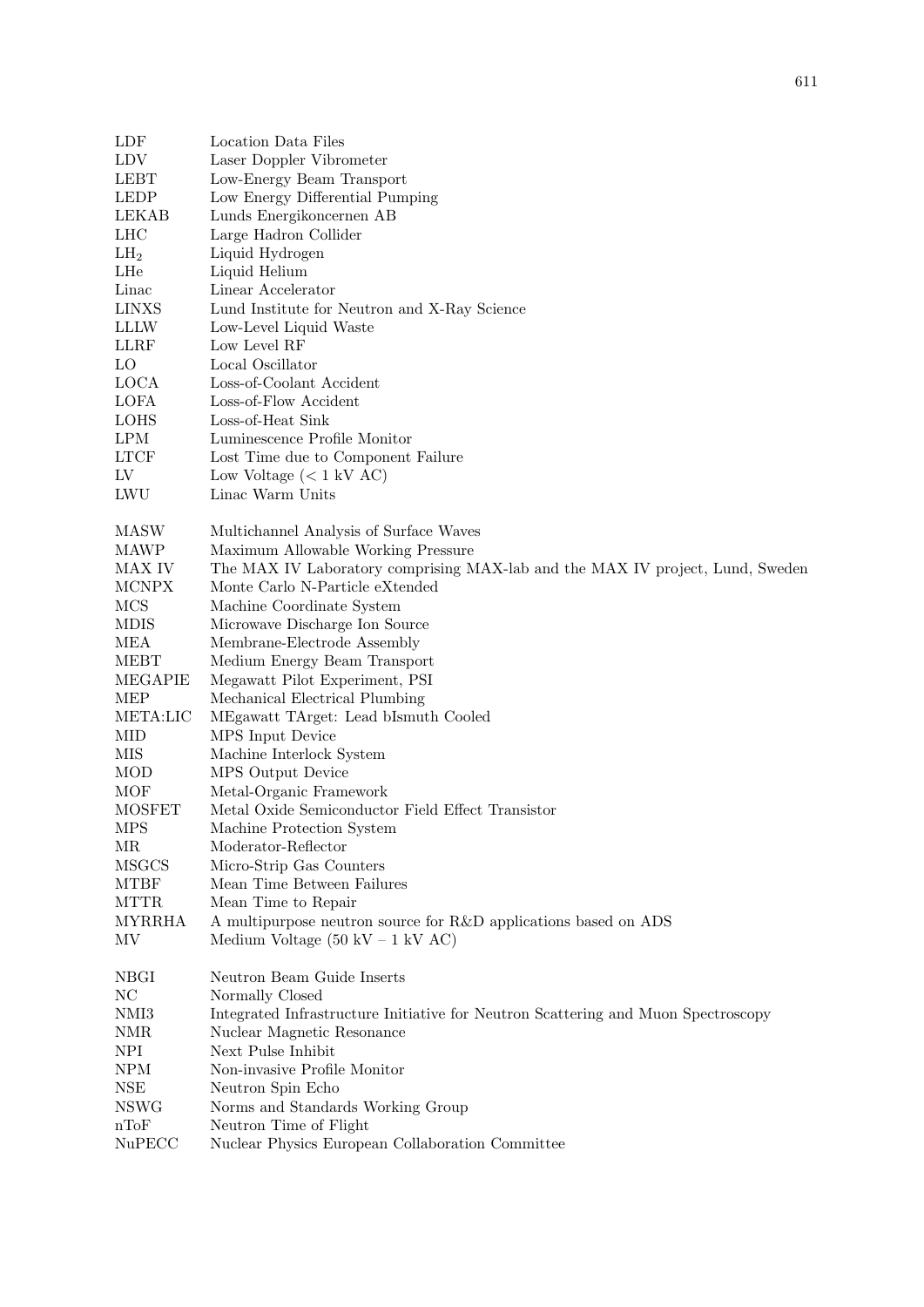| LDF             | Location Data Files                                                               |
|-----------------|-----------------------------------------------------------------------------------|
| <b>LDV</b>      | Laser Doppler Vibrometer                                                          |
| <b>LEBT</b>     | Low-Energy Beam Transport                                                         |
| <b>LEDP</b>     | Low Energy Differential Pumping                                                   |
| <b>LEKAB</b>    | Lunds Energikoncernen AB                                                          |
| LHC             | Large Hadron Collider                                                             |
| LH <sub>2</sub> | Liquid Hydrogen                                                                   |
| LHe             | Liquid Helium                                                                     |
| Linac           | Linear Accelerator                                                                |
| <b>LINXS</b>    | Lund Institute for Neutron and X-Ray Science                                      |
| <b>LLLW</b>     | Low-Level Liquid Waste                                                            |
| <b>LLRF</b>     | Low Level RF                                                                      |
| <b>LO</b>       | Local Oscillator                                                                  |
|                 |                                                                                   |
| <b>LOCA</b>     | Loss-of-Coolant Accident                                                          |
| LOFA            | Loss-of-Flow Accident                                                             |
| <b>LOHS</b>     | Loss-of-Heat Sink                                                                 |
| <b>LPM</b>      | Luminescence Profile Monitor                                                      |
| <b>LTCF</b>     | Lost Time due to Component Failure                                                |
| LV              | Low Voltage $(< 1 \text{ kV AC})$                                                 |
| LWU             | Linac Warm Units                                                                  |
| MASW            | Multichannel Analysis of Surface Waves                                            |
| <b>MAWP</b>     | Maximum Allowable Working Pressure                                                |
| MAX IV          | The MAX IV Laboratory comprising MAX-lab and the MAX IV project, Lund, Sweden     |
| <b>MCNPX</b>    | Monte Carlo N-Particle eXtended                                                   |
| <b>MCS</b>      | Machine Coordinate System                                                         |
| <b>MDIS</b>     | Microwave Discharge Ion Source                                                    |
| <b>MEA</b>      | Membrane-Electrode Assembly                                                       |
| <b>MEBT</b>     | Medium Energy Beam Transport                                                      |
| <b>MEGAPIE</b>  | Megawatt Pilot Experiment, PSI                                                    |
| <b>MEP</b>      | Mechanical Electrical Plumbing                                                    |
| META:LIC        | MEgawatt TArget: Lead bIsmuth Cooled                                              |
| <b>MID</b>      |                                                                                   |
| MIS             | MPS Input Device<br>Machine Interlock System                                      |
|                 |                                                                                   |
| <b>MOD</b>      | MPS Output Device                                                                 |
| <b>MOF</b>      | Metal-Organic Framework                                                           |
| <b>MOSFET</b>   | Metal Oxide Semiconductor Field Effect Transistor                                 |
| <b>MPS</b>      | Machine Protection System                                                         |
| МR              | Moderator-Reflector                                                               |
| <b>MSGCS</b>    | Micro-Strip Gas Counters                                                          |
| <b>MTBF</b>     | Mean Time Between Failures                                                        |
| <b>MTTR</b>     | Mean Time to Repair                                                               |
| <b>MYRRHA</b>   | A multipurpose neutron source for R&D applications based on ADS                   |
| MV              | Medium Voltage $(50 \text{ kV} - 1 \text{ kV AC})$                                |
| NBGI            | Neutron Beam Guide Inserts                                                        |
| NC              | Normally Closed                                                                   |
| NMI3            | Integrated Infrastructure Initiative for Neutron Scattering and Muon Spectroscopy |
| <b>NMR</b>      | Nuclear Magnetic Resonance                                                        |
| NPI             | Next Pulse Inhibit                                                                |
| <b>NPM</b>      | Non-invasive Profile Monitor                                                      |
| $_{\rm NSE}$    | Neutron Spin Echo                                                                 |
| <b>NSWG</b>     | Norms and Standards Working Group                                                 |
| nToF            | Neutron Time of Flight                                                            |
| NuPECC          | Nuclear Physics European Collaboration Committee                                  |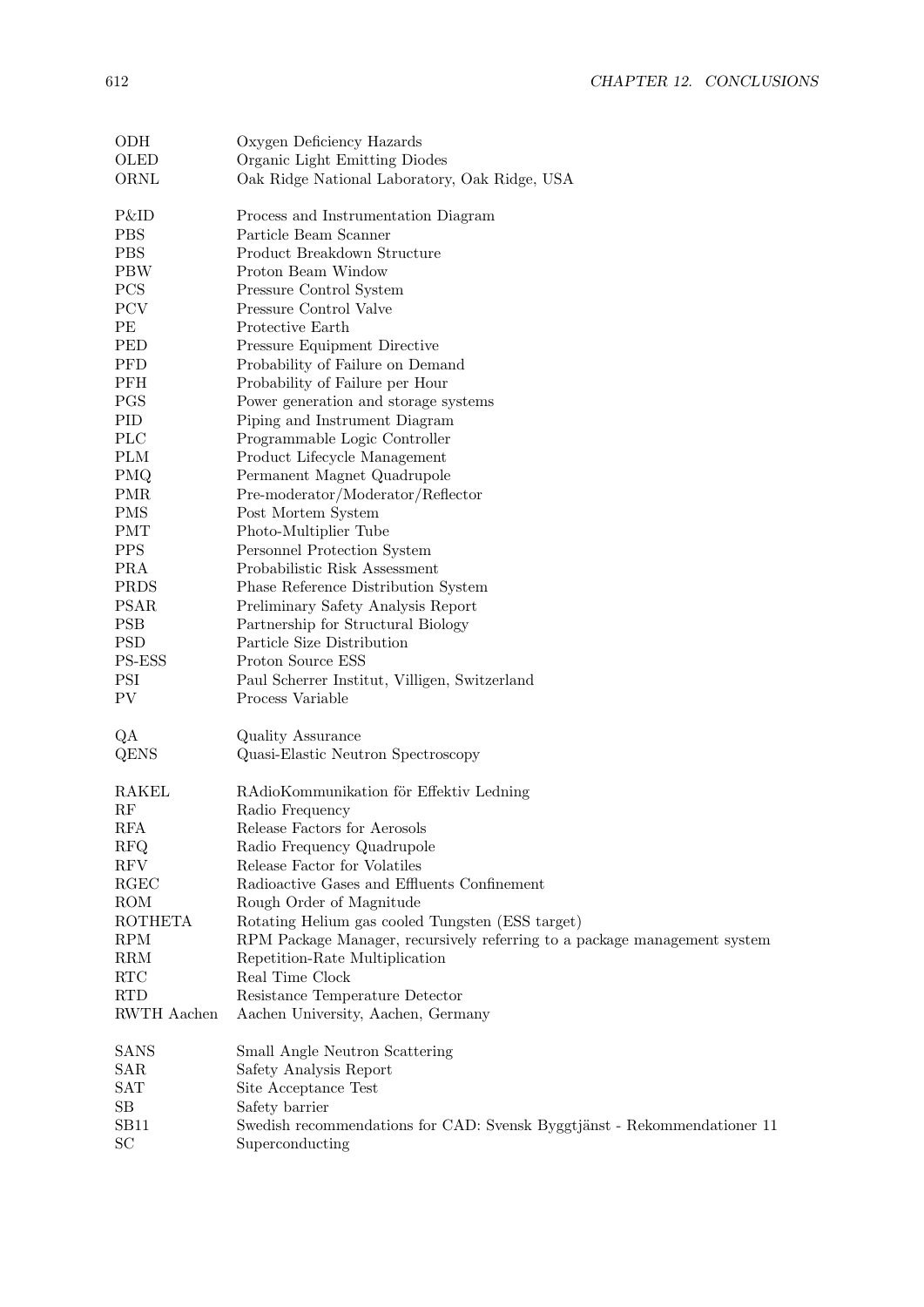| ODH                  | Oxygen Deficiency Hazards                                                 |
|----------------------|---------------------------------------------------------------------------|
| OLED                 | Organic Light Emitting Diodes                                             |
| ORNL                 | Oak Ridge National Laboratory, Oak Ridge, USA                             |
|                      |                                                                           |
| P&ID                 | Process and Instrumentation Diagram                                       |
| <b>PBS</b>           | Particle Beam Scanner                                                     |
| <b>PBS</b>           | Product Breakdown Structure                                               |
| <b>PBW</b>           | Proton Beam Window                                                        |
| PCS                  | Pressure Control System                                                   |
| PCV                  | Pressure Control Valve                                                    |
| PE                   | Protective Earth                                                          |
| PED                  | Pressure Equipment Directive                                              |
| PFD                  | Probability of Failure on Demand                                          |
| PFH                  | Probability of Failure per Hour                                           |
| PGS                  | Power generation and storage systems                                      |
| PID                  | Piping and Instrument Diagram                                             |
| $\rm{PLC}$           | Programmable Logic Controller                                             |
| <b>PLM</b>           | Product Lifecycle Management                                              |
| PMQ                  | Permanent Magnet Quadrupole                                               |
| <b>PMR</b>           | Pre-moderator/Moderator/Reflector                                         |
| <b>PMS</b>           | Post Mortem System                                                        |
|                      |                                                                           |
| <b>PMT</b>           | Photo-Multiplier Tube                                                     |
| <b>PPS</b>           | Personnel Protection System                                               |
| <b>PRA</b>           | Probabilistic Risk Assessment                                             |
| <b>PRDS</b>          | Phase Reference Distribution System                                       |
| <b>PSAR</b>          | Preliminary Safety Analysis Report                                        |
| <b>PSB</b>           | Partnership for Structural Biology                                        |
| <b>PSD</b>           | Particle Size Distribution                                                |
| PS-ESS               | Proton Source ESS                                                         |
| <b>PSI</b>           | Paul Scherrer Institut, Villigen, Switzerland                             |
| PV                   | Process Variable                                                          |
| QA                   | Quality Assurance                                                         |
| QENS                 | Quasi-Elastic Neutron Spectroscopy                                        |
|                      |                                                                           |
| <b>RAKEL</b>         | RAdioKommunikation för Effektiv Ledning                                   |
| RF                   | Radio Frequency                                                           |
| RFA                  | Release Factors for Aerosols                                              |
| <b>RFQ</b>           | Radio Frequency Quadrupole                                                |
| RFV                  | Release Factor for Volatiles                                              |
| RGEC                 | Radioactive Gases and Effluents Confinement                               |
| ROM                  | Rough Order of Magnitude                                                  |
| <b>ROTHETA</b>       | Rotating Helium gas cooled Tungsten (ESS target)                          |
| <b>RPM</b>           | RPM Package Manager, recursively referring to a package management system |
| <b>RRM</b>           | Repetition-Rate Multiplication                                            |
| <b>RTC</b>           | Real Time Clock                                                           |
| <b>RTD</b>           | Resistance Temperature Detector                                           |
| RWTH Aachen          | Aachen University, Aachen, Germany                                        |
|                      |                                                                           |
| SANS                 | Small Angle Neutron Scattering                                            |
| SAR                  | Safety Analysis Report                                                    |
| $\operatorname{SAT}$ | Site Acceptance Test                                                      |
| SВ                   | Safety barrier                                                            |
| SB11                 | Swedish recommendations for CAD: Svensk Byggtjänst - Rekommendationer 11  |
| SC                   | Superconducting                                                           |
|                      |                                                                           |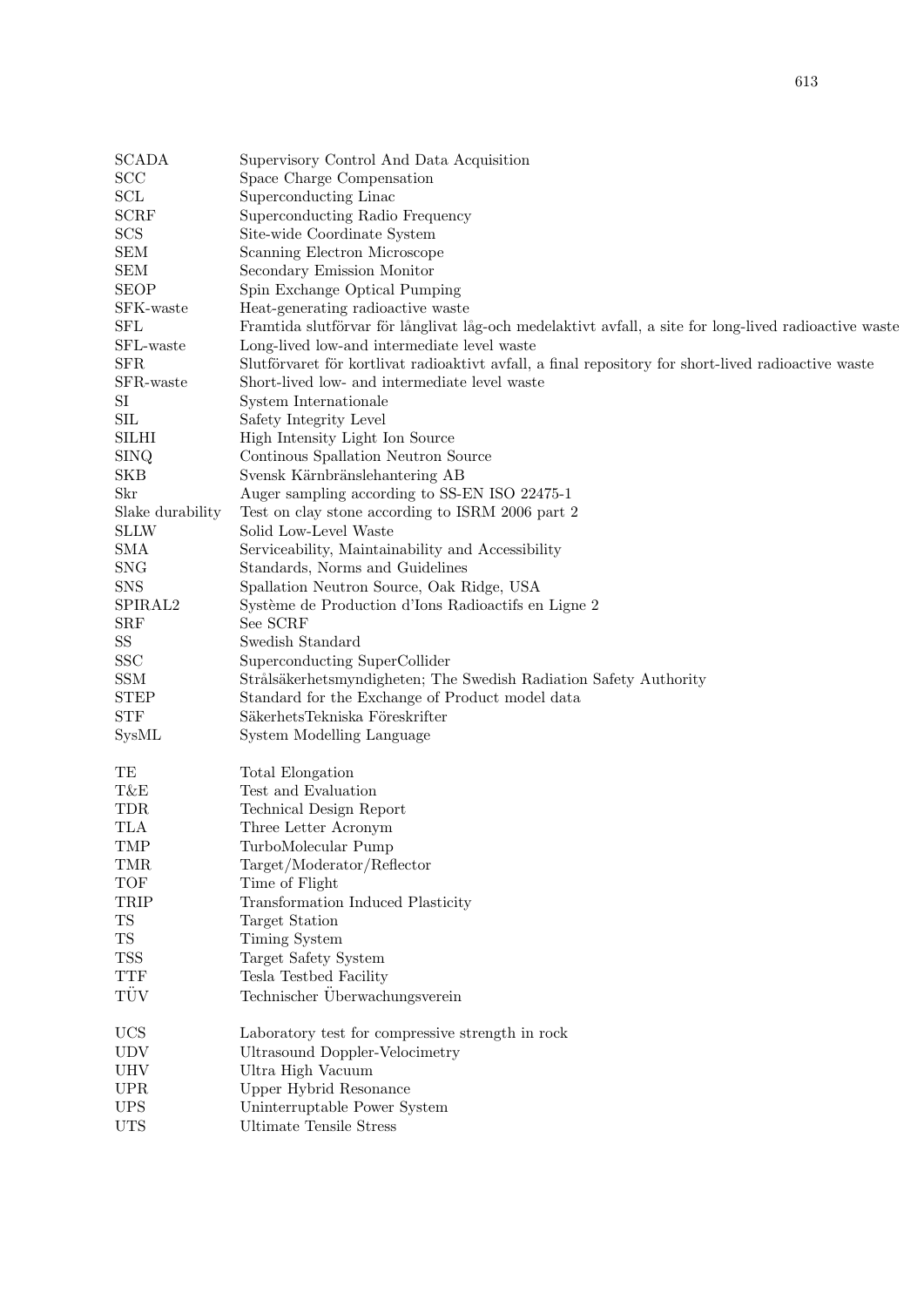| SCL              | Superconducting Linac                                                                                 |
|------------------|-------------------------------------------------------------------------------------------------------|
| <b>SCRF</b>      | Superconducting Radio Frequency                                                                       |
| SCS              | Site-wide Coordinate System                                                                           |
| <b>SEM</b>       | Scanning Electron Microscope                                                                          |
| <b>SEM</b>       | Secondary Emission Monitor                                                                            |
| <b>SEOP</b>      | Spin Exchange Optical Pumping                                                                         |
| SFK-waste        | Heat-generating radioactive waste                                                                     |
| <b>SFL</b>       | Framtida slutförvar för långlivat låg-och medelaktivt avfall, a site for long-lived radioactive waste |
| SFL-waste        | Long-lived low-and intermediate level waste                                                           |
| <b>SFR</b>       | Slutförvaret för kortlivat radioaktivt avfall, a final repository for short-lived radioactive waste   |
| SFR-waste        | Short-lived low- and intermediate level waste                                                         |
| $\rm SI$         | System Internationale                                                                                 |
| <b>SIL</b>       | Safety Integrity Level                                                                                |
| <b>SILHI</b>     | High Intensity Light Ion Source                                                                       |
| <b>SINQ</b>      | Continous Spallation Neutron Source                                                                   |
| <b>SKB</b>       | Svensk Kärnbränslehantering AB                                                                        |
| Skr              | Auger sampling according to SS-EN ISO 22475-1                                                         |
| Slake durability | Test on clay stone according to ISRM 2006 part 2                                                      |
| <b>SLLW</b>      | Solid Low-Level Waste                                                                                 |
| <b>SMA</b>       | Serviceability, Maintainability and Accessibility                                                     |
| <b>SNG</b>       | Standards, Norms and Guidelines                                                                       |
| SNS              | Spallation Neutron Source, Oak Ridge, USA                                                             |
| SPIRAL2          |                                                                                                       |
|                  | Système de Production d'Ions Radioactifs en Ligne 2<br>See SCRF                                       |
| <b>SRF</b>       | Swedish Standard                                                                                      |
| $\rm SS$         |                                                                                                       |
| <b>SSC</b>       | Superconducting SuperCollider                                                                         |
| <b>SSM</b>       | Strålsäkerhetsmyndigheten; The Swedish Radiation Safety Authority                                     |
| <b>STEP</b>      | Standard for the Exchange of Product model data                                                       |
| <b>STF</b>       | SäkerhetsTekniska Föreskrifter                                                                        |
| SysML            | System Modelling Language                                                                             |
|                  |                                                                                                       |
| TE<br>T&E        | Total Elongation                                                                                      |
|                  | Test and Evaluation                                                                                   |
| TDR              | Technical Design Report                                                                               |
| TLA              | Three Letter Acronym                                                                                  |
| <b>TMP</b>       | TurboMolecular Pump                                                                                   |
| TMR              | Target/Moderator/Reflector                                                                            |
| <b>TOF</b>       | Time of Flight                                                                                        |
| TRIP             | Transformation Induced Plasticity                                                                     |
| <b>TS</b>        | Target Station                                                                                        |
| <b>TS</b>        | Timing System                                                                                         |
| <b>TSS</b>       | Target Safety System                                                                                  |
| <b>TTF</b>       | Tesla Testbed Facility                                                                                |
| TÜV              | Technischer Überwachungsverein                                                                        |
| <b>UCS</b>       | Laboratory test for compressive strength in rock                                                      |
| <b>UDV</b>       | Ultrasound Doppler-Velocimetry                                                                        |
| <b>UHV</b>       | Ultra High Vacuum                                                                                     |
| <b>UPR</b>       | Upper Hybrid Resonance                                                                                |
| <b>UPS</b>       | Uninterruptable Power System                                                                          |
| <b>TITS</b>      | Illtimate Tengile Stress                                                                              |

UTS Ultimate Tensile Stress

SCADA Supervisory Control And Data Acquisition

SCC Space Charge Compensation